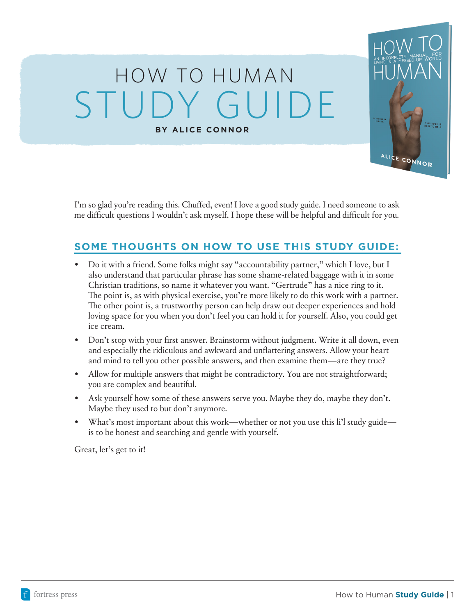# HOW TO HUMAN **BY ALICE CONNOR** STUDY GUIDE



## **SOME THOUGHTS ON HOW TO USE THIS STUDY GUIDE:**

- Do it with a friend. Some folks might say "accountability partner," which I love, but I also understand that particular phrase has some shame-related baggage with it in some Christian traditions, so name it whatever you want. "Gertrude" has a nice ring to it. The point is, as with physical exercise, you're more likely to do this work with a partner. The other point is, a trustworthy person can help draw out deeper experiences and hold loving space for you when you don't feel you can hold it for yourself. Also, you could get ice cream.
- Don't stop with your first answer. Brainstorm without judgment. Write it all down, even and especially the ridiculous and awkward and unflattering answers. Allow your heart and mind to tell you other possible answers, and then examine them—are they true?
- Allow for multiple answers that might be contradictory. You are not straightforward; you are complex and beautiful.
- Ask yourself how some of these answers serve you. Maybe they do, maybe they don't. Maybe they used to but don't anymore.
- What's most important about this work—whether or not you use this li'l study guide is to be honest and searching and gentle with yourself.

Great, let's get to it!

**HIS BOOK IS<br>ERE TO HELE** 

ALICE CONNOR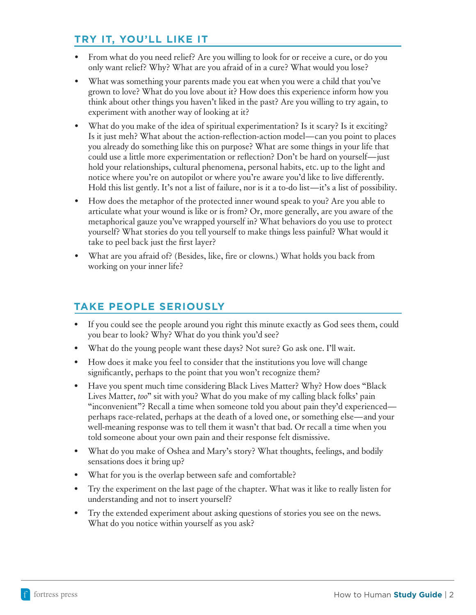## **TRY IT, YOU'LL LIKE IT**

- From what do you need relief? Are you willing to look for or receive a cure, or do you only want relief? Why? What are you afraid of in a cure? What would you lose?
- What was something your parents made you eat when you were a child that you've grown to love? What do you love about it? How does this experience inform how you think about other things you haven't liked in the past? Are you willing to try again, to experiment with another way of looking at it?
- What do you make of the idea of spiritual experimentation? Is it scary? Is it exciting? Is it just meh? What about the action-reflection-action model—can you point to places you already do something like this on purpose? What are some things in your life that could use a little more experimentation or reflection? Don't be hard on yourself—just hold your relationships, cultural phenomena, personal habits, etc. up to the light and notice where you're on autopilot or where you're aware you'd like to live differently. Hold this list gently. It's not a list of failure, nor is it a to-do list—it's a list of possibility.
- How does the metaphor of the protected inner wound speak to you? Are you able to articulate what your wound is like or is from? Or, more generally, are you aware of the metaphorical gauze you've wrapped yourself in? What behaviors do you use to protect yourself? What stories do you tell yourself to make things less painful? What would it take to peel back just the first layer?
- What are you afraid of? (Besides, like, fire or clowns.) What holds you back from working on your inner life?

#### **TAKE PEOPLE SERIOUSLY**

- If you could see the people around you right this minute exactly as God sees them, could you bear to look? Why? What do you think you'd see?
- What do the young people want these days? Not sure? Go ask one. I'll wait.
- How does it make you feel to consider that the institutions you love will change significantly, perhaps to the point that you won't recognize them?
- Have you spent much time considering Black Lives Matter? Why? How does "Black" Lives Matter, *too*" sit with you? What do you make of my calling black folks' pain "inconvenient"? Recall a time when someone told you about pain they'd experienced perhaps race-related, perhaps at the death of a loved one, or something else—and your well-meaning response was to tell them it wasn't that bad. Or recall a time when you told someone about your own pain and their response felt dismissive.
- What do you make of Oshea and Mary's story? What thoughts, feelings, and bodily sensations does it bring up?
- What for you is the overlap between safe and comfortable?
- Try the experiment on the last page of the chapter. What was it like to really listen for understanding and not to insert yourself?
- Try the extended experiment about asking questions of stories you see on the news. What do you notice within yourself as you ask?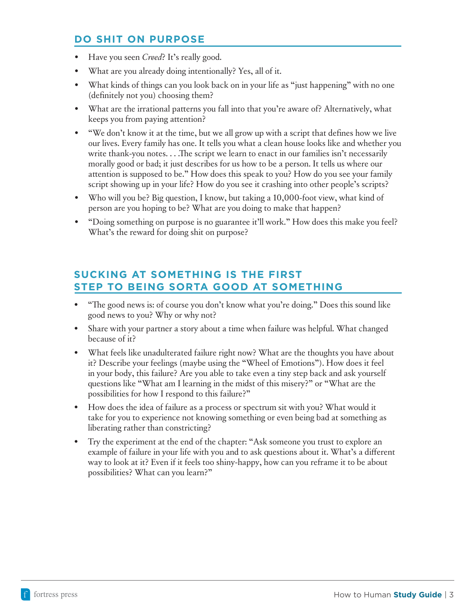#### **DO SHIT ON PURPOSE**

- Have you seen *Creed*? It's really good.
- What are you already doing intentionally? Yes, all of it.
- What kinds of things can you look back on in your life as "just happening" with no one (definitely not you) choosing them?
- What are the irrational patterns you fall into that you're aware of? Alternatively, what keeps you from paying attention?
- "We don't know it at the time, but we all grow up with a script that defines how we live our lives. Every family has one. It tells you what a clean house looks like and whether you write thank-you notes. . . .The script we learn to enact in our families isn't necessarily morally good or bad; it just describes for us how to be a person. It tells us where our attention is supposed to be." How does this speak to you? How do you see your family script showing up in your life? How do you see it crashing into other people's scripts?
- Who will you be? Big question, I know, but taking a 10,000-foot view, what kind of person are you hoping to be? What are you doing to make that happen?
- "Doing something on purpose is no guarantee it'll work." How does this make you feel? What's the reward for doing shit on purpose?

#### **SUCKING AT SOMETHING IS THE FIRST STEP TO BEING SORTA GOOD AT SOMETHING**

- "The good news is: of course you don't know what you're doing." Does this sound like good news to you? Why or why not?
- Share with your partner a story about a time when failure was helpful. What changed because of it?
- What feels like unadulterated failure right now? What are the thoughts you have about it? Describe your feelings (maybe using the "Wheel of Emotions"). How does it feel in your body, this failure? Are you able to take even a tiny step back and ask yourself questions like "What am I learning in the midst of this misery?" or "What are the possibilities for how I respond to this failure?"
- How does the idea of failure as a process or spectrum sit with you? What would it take for you to experience not knowing something or even being bad at something as liberating rather than constricting?
- Try the experiment at the end of the chapter: "Ask someone you trust to explore an example of failure in your life with you and to ask questions about it. What's a different way to look at it? Even if it feels too shiny-happy, how can you reframe it to be about possibilities? What can you learn?"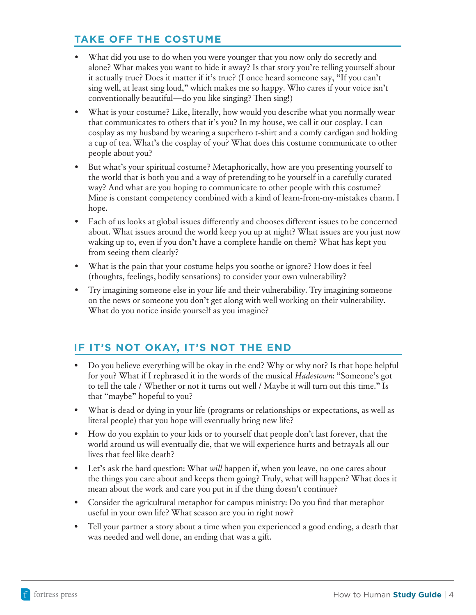# **TAKE OFF THE COSTUME**

- What did you use to do when you were younger that you now only do secretly and alone? What makes you want to hide it away? Is that story you're telling yourself about it actually true? Does it matter if it's true? (I once heard someone say, "If you can't sing well, at least sing loud," which makes me so happy. Who cares if your voice isn't conventionally beautiful—do you like singing? Then sing!)
- What is your costume? Like, literally, how would you describe what you normally wear that communicates to others that it's you? In my house, we call it our cosplay. I can cosplay as my husband by wearing a superhero t-shirt and a comfy cardigan and holding a cup of tea. What's the cosplay of you? What does this costume communicate to other people about you?
- But what's your spiritual costume? Metaphorically, how are you presenting yourself to the world that is both you and a way of pretending to be yourself in a carefully curated way? And what are you hoping to communicate to other people with this costume? Mine is constant competency combined with a kind of learn-from-my-mistakes charm. I hope.
- Each of us looks at global issues differently and chooses different issues to be concerned about. What issues around the world keep you up at night? What issues are you just now waking up to, even if you don't have a complete handle on them? What has kept you from seeing them clearly?
- What is the pain that your costume helps you soothe or ignore? How does it feel (thoughts, feelings, bodily sensations) to consider your own vulnerability?
- Try imagining someone else in your life and their vulnerability. Try imagining someone on the news or someone you don't get along with well working on their vulnerability. What do you notice inside yourself as you imagine?

## **IF IT'S NOT OKAY, IT'S NOT THE END**

- Do you believe everything will be okay in the end? Why or why not? Is that hope helpful for you? What if I rephrased it in the words of the musical *Hadestown*: "Someone's got to tell the tale / Whether or not it turns out well / Maybe it will turn out this time." Is that "maybe" hopeful to you?
- What is dead or dying in your life (programs or relationships or expectations, as well as literal people) that you hope will eventually bring new life?
- How do you explain to your kids or to yourself that people don't last forever, that the world around us will eventually die, that we will experience hurts and betrayals all our lives that feel like death?
- Let's ask the hard question: What *will* happen if, when you leave, no one cares about the things you care about and keeps them going? Truly, what will happen? What does it mean about the work and care you put in if the thing doesn't continue?
- Consider the agricultural metaphor for campus ministry: Do you find that metaphor useful in your own life? What season are you in right now?
- Tell your partner a story about a time when you experienced a good ending, a death that was needed and well done, an ending that was a gift.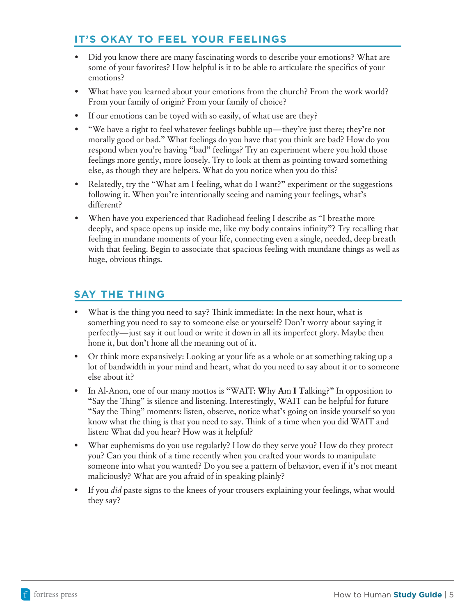## **IT'S OKAY TO FEEL YOUR FEELINGS**

- Did you know there are many fascinating words to describe your emotions? What are some of your favorites? How helpful is it to be able to articulate the specifics of your emotions?
- What have you learned about your emotions from the church? From the work world? From your family of origin? From your family of choice?
- If our emotions can be toyed with so easily, of what use are they?
- "We have a right to feel whatever feelings bubble up—they're just there; they're not morally good or bad." What feelings do you have that you think are bad? How do you respond when you're having "bad" feelings? Try an experiment where you hold those feelings more gently, more loosely. Try to look at them as pointing toward something else, as though they are helpers. What do you notice when you do this?
- Relatedly, try the "What am I feeling, what do I want?" experiment or the suggestions following it. When you're intentionally seeing and naming your feelings, what's different?
- When have you experienced that Radiohead feeling I describe as "I breathe more deeply, and space opens up inside me, like my body contains infinity"? Try recalling that feeling in mundane moments of your life, connecting even a single, needed, deep breath with that feeling. Begin to associate that spacious feeling with mundane things as well as huge, obvious things.

## **SAY THE THING**

- What is the thing you need to say? Think immediate: In the next hour, what is something you need to say to someone else or yourself? Don't worry about saying it perfectly—just say it out loud or write it down in all its imperfect glory. Maybe then hone it, but don't hone all the meaning out of it.
- Or think more expansively: Looking at your life as a whole or at something taking up a lot of bandwidth in your mind and heart, what do you need to say about it or to someone else about it?
- In Al-Anon, one of our many mottos is "WAIT: **W**hy **A**m **I T**alking?" In opposition to "Say the Thing" is silence and listening. Interestingly, WAIT can be helpful for future "Say the Thing" moments: listen, observe, notice what's going on inside yourself so you know what the thing is that you need to say. Think of a time when you did WAIT and listen: What did you hear? How was it helpful?
- What euphemisms do you use regularly? How do they serve you? How do they protect you? Can you think of a time recently when you crafted your words to manipulate someone into what you wanted? Do you see a pattern of behavior, even if it's not meant maliciously? What are you afraid of in speaking plainly?
- If you *did* paste signs to the knees of your trousers explaining your feelings, what would they say?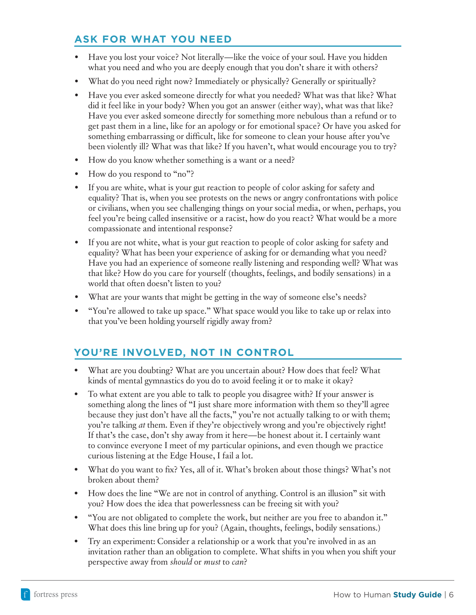## **ASK FOR WHAT YOU NEED**

- Have you lost your voice? Not literally—like the voice of your soul. Have you hidden what you need and who you are deeply enough that you don't share it with others?
- What do you need right now? Immediately or physically? Generally or spiritually?
- Have you ever asked someone directly for what you needed? What was that like? What did it feel like in your body? When you got an answer (either way), what was that like? Have you ever asked someone directly for something more nebulous than a refund or to get past them in a line, like for an apology or for emotional space? Or have you asked for something embarrassing or difficult, like for someone to clean your house after you've been violently ill? What was that like? If you haven't, what would encourage you to try?
- How do you know whether something is a want or a need?
- How do you respond to "no"?
- If you are white, what is your gut reaction to people of color asking for safety and equality? That is, when you see protests on the news or angry confrontations with police or civilians, when you see challenging things on your social media, or when, perhaps, you feel you're being called insensitive or a racist, how do you react? What would be a more compassionate and intentional response?
- If you are not white, what is your gut reaction to people of color asking for safety and equality? What has been your experience of asking for or demanding what you need? Have you had an experience of someone really listening and responding well? What was that like? How do you care for yourself (thoughts, feelings, and bodily sensations) in a world that often doesn't listen to you?
- What are your wants that might be getting in the way of someone else's needs?
- "You're allowed to take up space." What space would you like to take up or relax into that you've been holding yourself rigidly away from?

## **YOU'RE INVOLVED, NOT IN CONTROL**

- What are you doubting? What are you uncertain about? How does that feel? What kinds of mental gymnastics do you do to avoid feeling it or to make it okay?
- To what extent are you able to talk to people you disagree with? If your answer is something along the lines of "I just share more information with them so they'll agree because they just don't have all the facts," you're not actually talking to or with them; you're talking *at* them. Even if they're objectively wrong and you're objectively right! If that's the case, don't shy away from it here—be honest about it. I certainly want to convince everyone I meet of my particular opinions, and even though we practice curious listening at the Edge House, I fail a lot.
- What do you want to fix? Yes, all of it. What's broken about those things? What's not broken about them?
- How does the line "We are not in control of anything. Control is an illusion" sit with you? How does the idea that powerlessness can be freeing sit with you?
- "You are not obligated to complete the work, but neither are you free to abandon it." What does this line bring up for you? (Again, thoughts, feelings, bodily sensations.)
- Try an experiment: Consider a relationship or a work that you're involved in as an invitation rather than an obligation to complete. What shifts in you when you shift your perspective away from *should* or *must* to *can*?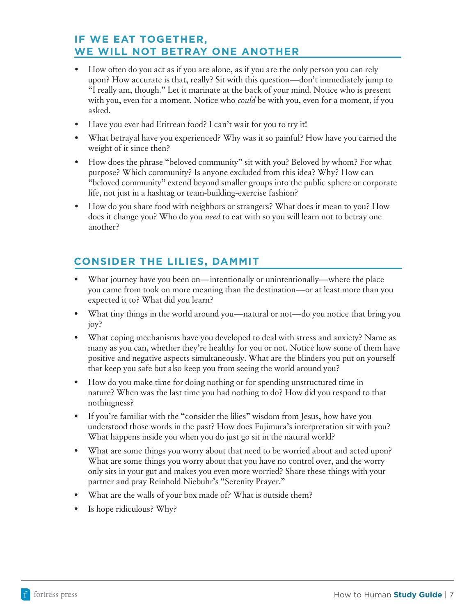#### **IF WE EAT TOGETHER, WE WILL NOT BETRAY ONE ANOTHER**

- How often do you act as if you are alone, as if you are the only person you can rely upon? How accurate is that, really? Sit with this question—don't immediately jump to "I really am, though." Let it marinate at the back of your mind. Notice who is present with you, even for a moment. Notice who *could* be with you, even for a moment, if you asked.
- Have you ever had Eritrean food? I can't wait for you to try it!
- What betrayal have you experienced? Why was it so painful? How have you carried the weight of it since then?
- How does the phrase "beloved community" sit with you? Beloved by whom? For what purpose? Which community? Is anyone excluded from this idea? Why? How can "beloved community" extend beyond smaller groups into the public sphere or corporate life, not just in a hashtag or team-building-exercise fashion?
- How do you share food with neighbors or strangers? What does it mean to you? How does it change you? Who do you *need* to eat with so you will learn not to betray one another?

# **CONSIDER THE LILIES, DAMMIT**

- What journey have you been on—intentionally or unintentionally—where the place you came from took on more meaning than the destination—or at least more than you expected it to? What did you learn?
- What tiny things in the world around you—natural or not—do you notice that bring you joy?
- What coping mechanisms have you developed to deal with stress and anxiety? Name as many as you can, whether they're healthy for you or not. Notice how some of them have positive and negative aspects simultaneously. What are the blinders you put on yourself that keep you safe but also keep you from seeing the world around you?
- How do you make time for doing nothing or for spending unstructured time in nature? When was the last time you had nothing to do? How did you respond to that nothingness?
- If you're familiar with the "consider the lilies" wisdom from Jesus, how have you understood those words in the past? How does Fujimura's interpretation sit with you? What happens inside you when you do just go sit in the natural world?
- What are some things you worry about that need to be worried about and acted upon? What are some things you worry about that you have no control over, and the worry only sits in your gut and makes you even more worried? Share these things with your partner and pray Reinhold Niebuhr's "Serenity Prayer."
- What are the walls of your box made of? What is outside them?
- Is hope ridiculous? Why?